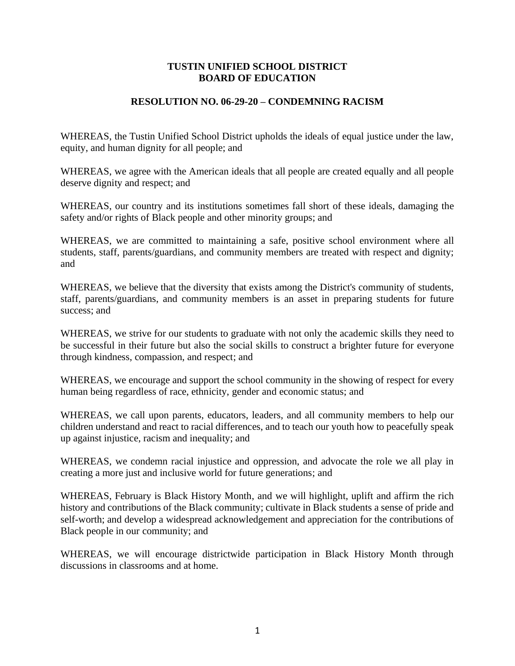## **TUSTIN UNIFIED SCHOOL DISTRICT BOARD OF EDUCATION**

## **RESOLUTION NO. 06-29-20 – CONDEMNING RACISM**

WHEREAS, the Tustin Unified School District upholds the ideals of equal justice under the law, equity, and human dignity for all people; and

WHEREAS, we agree with the American ideals that all people are created equally and all people deserve dignity and respect; and

WHEREAS, our country and its institutions sometimes fall short of these ideals, damaging the safety and/or rights of Black people and other minority groups; and

WHEREAS, we are committed to maintaining a safe, positive school environment where all students, staff, parents/guardians, and community members are treated with respect and dignity; and

WHEREAS, we believe that the diversity that exists among the District's community of students, staff, parents/guardians, and community members is an asset in preparing students for future success; and

WHEREAS, we strive for our students to graduate with not only the academic skills they need to be successful in their future but also the social skills to construct a brighter future for everyone through kindness, compassion, and respect; and

WHEREAS, we encourage and support the school community in the showing of respect for every human being regardless of race, ethnicity, gender and economic status; and

WHEREAS, we call upon parents, educators, leaders, and all community members to help our children understand and react to racial differences, and to teach our youth how to peacefully speak up against injustice, racism and inequality; and

WHEREAS, we condemn racial injustice and oppression, and advocate the role we all play in creating a more just and inclusive world for future generations; and

WHEREAS, February is Black History Month, and we will highlight, uplift and affirm the rich history and contributions of the Black community; cultivate in Black students a sense of pride and self-worth; and develop a widespread acknowledgement and appreciation for the contributions of Black people in our community; and

WHEREAS, we will encourage districtwide participation in Black History Month through discussions in classrooms and at home.